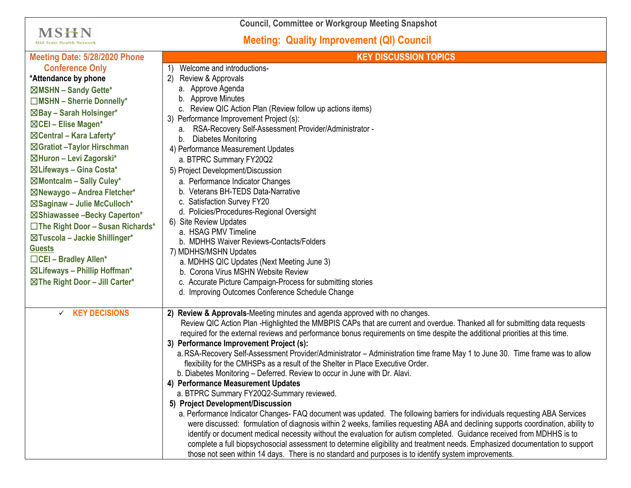**Council, Committee or Workgroup Meeting Snapshot**

**MSHN** 

## **Meeting: Quality Improvement (QI) Council**

| <b>Mid-State Health Network</b>           | <b>Meeting: Quality Improvement (QI) Council</b>                                                                                                              |
|-------------------------------------------|---------------------------------------------------------------------------------------------------------------------------------------------------------------|
| Meeting Date: 5/28/2020 Phone             | <b>KEY DISCUSSION TOPICS</b>                                                                                                                                  |
| <b>Conference Only</b>                    | Welcome and introductions-                                                                                                                                    |
| *Attendance by phone                      | $\mathbf{2}$<br>Review & Approvals                                                                                                                            |
| ⊠MSHN - Sandy Gette*                      | a. Approve Agenda                                                                                                                                             |
| $\Box$ MSHN - Sherrie Donnelly*           | b. Approve Minutes                                                                                                                                            |
| ⊠Bay - Sarah Holsinger*                   | c. Review QIC Action Plan (Review follow up actions items)                                                                                                    |
| ⊠CEI - Elise Magen*                       | 3) Performance Improvement Project (s):                                                                                                                       |
| $\boxtimes$ Central – Kara Laferty*       | RSA-Recovery Self-Assessment Provider/Administrator -<br>а.<br>Diabetes Monitoring<br>b.                                                                      |
| ⊠Gratiot - Taylor Hirschman               | 4) Performance Measurement Updates                                                                                                                            |
| ⊠Huron - Levi Zagorski*                   | a. BTPRC Summary FY20Q2                                                                                                                                       |
| ⊠Lifeways - Gina Costa*                   | 5) Project Development/Discussion                                                                                                                             |
| ⊠Montcalm - Sally Culey*                  | a. Performance Indicator Changes                                                                                                                              |
| ⊠Newaygo - Andrea Fletcher*               | b. Veterans BH-TEDS Data-Narrative                                                                                                                            |
| ⊠Saginaw - Julie McCulloch*               | c. Satisfaction Survey FY20                                                                                                                                   |
| ⊠Shiawassee -Becky Caperton*              | d. Policies/Procedures-Regional Oversight                                                                                                                     |
| $\Box$ The Right Door - Susan Richards*   | 6) Site Review Updates                                                                                                                                        |
| ⊠Tuscola - Jackie Shillinger*             | a. HSAG PMV Timeline                                                                                                                                          |
| <b>Guests</b>                             | b. MDHHS Waiver Reviews-Contacts/Folders                                                                                                                      |
| $\Box$ CEI - Bradley Allen*               | 7) MDHHS/MSHN Updates                                                                                                                                         |
| ⊠ Lifeways - Phillip Hoffman*             | a. MDHHS QIC Updates (Next Meeting June 3)<br>b. Corona Virus MSHN Website Review                                                                             |
| $\boxtimes$ The Right Door - Jill Carter* | c. Accurate Picture Campaign-Process for submitting stories                                                                                                   |
|                                           | d. Improving Outcomes Conference Schedule Change                                                                                                              |
|                                           |                                                                                                                                                               |
| $\checkmark$ KEY DECISIONS                | 2) Review & Approvals-Meeting minutes and agenda approved with no changes.                                                                                    |
|                                           | Review QIC Action Plan -Highlighted the MMBPIS CAPs that are current and overdue. Thanked all for submitting data requests                                    |
|                                           | required for the external reviews and performance bonus requirements on time despite the additional priorities at this time.                                  |
|                                           | 3) Performance Improvement Project (s):                                                                                                                       |
|                                           | a. RSA-Recovery Self-Assessment Provider/Administrator - Administration time frame May 1 to June 30. Time frame was to allow                                  |
|                                           | flexibility for the CMHSPs as a result of the Shelter in Place Executive Order.<br>b. Diabetes Monitoring - Deferred. Review to occur in June with Dr. Alavi. |
|                                           | 4) Performance Measurement Updates                                                                                                                            |
|                                           | a. BTPRC Summary FY20Q2-Summary reviewed.                                                                                                                     |
|                                           | 5) Project Development/Discussion                                                                                                                             |
|                                           | a. Performance Indicator Changes- FAQ document was updated. The following barriers for individuals requesting ABA Services                                    |
|                                           | were discussed: formulation of diagnosis within 2 weeks, families requesting ABA and declining supports coordination, ability to                              |
|                                           | identify or document medical necessity without the evaluation for autism completed. Guidance received from MDHHS is to                                        |
|                                           | complete a full biopsychosocial assessment to determine eligibility and treatment needs. Emphasized documentation to support                                  |
|                                           | those not seen within 14 days. There is no standard and purposes is to identify system improvements.                                                          |